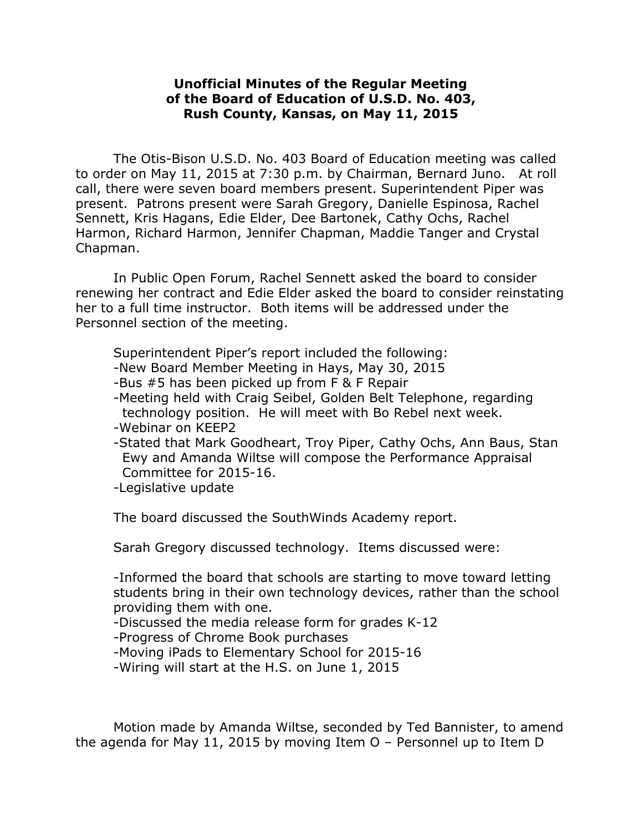## **Unofficial Minutes of the Regular Meeting of the Board of Education of U.S.D. No. 403, Rush County, Kansas, on May 11, 2015**

The Otis-Bison U.S.D. No. 403 Board of Education meeting was called to order on May 11, 2015 at 7:30 p.m. by Chairman, Bernard Juno. At roll call, there were seven board members present. Superintendent Piper was present. Patrons present were Sarah Gregory, Danielle Espinosa, Rachel Sennett, Kris Hagans, Edie Elder, Dee Bartonek, Cathy Ochs, Rachel Harmon, Richard Harmon, Jennifer Chapman, Maddie Tanger and Crystal Chapman.

In Public Open Forum, Rachel Sennett asked the board to consider renewing her contract and Edie Elder asked the board to consider reinstating her to a full time instructor. Both items will be addressed under the Personnel section of the meeting.

Superintendent Piper's report included the following:

- -New Board Member Meeting in Hays, May 30, 2015
- -Bus #5 has been picked up from F & F Repair
- -Meeting held with Craig Seibel, Golden Belt Telephone, regarding technology position. He will meet with Bo Rebel next week.
- -Webinar on KEEP2
- -Stated that Mark Goodheart, Troy Piper, Cathy Ochs, Ann Baus, Stan Ewy and Amanda Wiltse will compose the Performance Appraisal Committee for 2015-16.

-Legislative update

The board discussed the SouthWinds Academy report.

Sarah Gregory discussed technology. Items discussed were:

-Informed the board that schools are starting to move toward letting students bring in their own technology devices, rather than the school providing them with one.

-Discussed the media release form for grades K-12

-Progress of Chrome Book purchases

-Moving iPads to Elementary School for 2015-16

-Wiring will start at the H.S. on June 1, 2015

Motion made by Amanda Wiltse, seconded by Ted Bannister, to amend the agenda for May 11, 2015 by moving Item O – Personnel up to Item D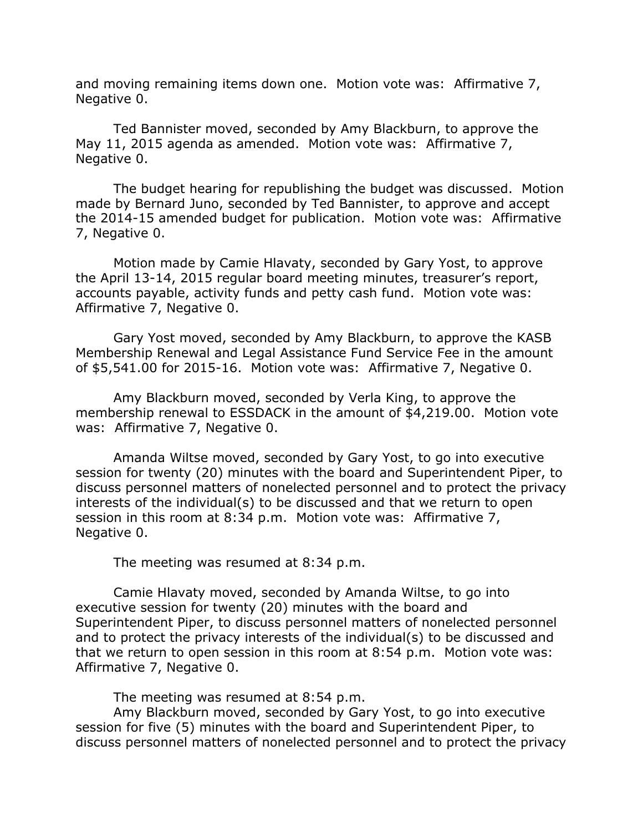and moving remaining items down one. Motion vote was: Affirmative 7, Negative 0.

Ted Bannister moved, seconded by Amy Blackburn, to approve the May 11, 2015 agenda as amended. Motion vote was: Affirmative 7, Negative 0.

The budget hearing for republishing the budget was discussed. Motion made by Bernard Juno, seconded by Ted Bannister, to approve and accept the 2014-15 amended budget for publication. Motion vote was: Affirmative 7, Negative 0.

Motion made by Camie Hlavaty, seconded by Gary Yost, to approve the April 13-14, 2015 regular board meeting minutes, treasurer's report, accounts payable, activity funds and petty cash fund. Motion vote was: Affirmative 7, Negative 0.

Gary Yost moved, seconded by Amy Blackburn, to approve the KASB Membership Renewal and Legal Assistance Fund Service Fee in the amount of \$5,541.00 for 2015-16. Motion vote was: Affirmative 7, Negative 0.

Amy Blackburn moved, seconded by Verla King, to approve the membership renewal to ESSDACK in the amount of \$4,219.00. Motion vote was: Affirmative 7, Negative 0.

Amanda Wiltse moved, seconded by Gary Yost, to go into executive session for twenty (20) minutes with the board and Superintendent Piper, to discuss personnel matters of nonelected personnel and to protect the privacy interests of the individual(s) to be discussed and that we return to open session in this room at 8:34 p.m. Motion vote was: Affirmative 7, Negative 0.

The meeting was resumed at 8:34 p.m.

Camie Hlavaty moved, seconded by Amanda Wiltse, to go into executive session for twenty (20) minutes with the board and Superintendent Piper, to discuss personnel matters of nonelected personnel and to protect the privacy interests of the individual(s) to be discussed and that we return to open session in this room at 8:54 p.m. Motion vote was: Affirmative 7, Negative 0.

The meeting was resumed at 8:54 p.m.

Amy Blackburn moved, seconded by Gary Yost, to go into executive session for five (5) minutes with the board and Superintendent Piper, to discuss personnel matters of nonelected personnel and to protect the privacy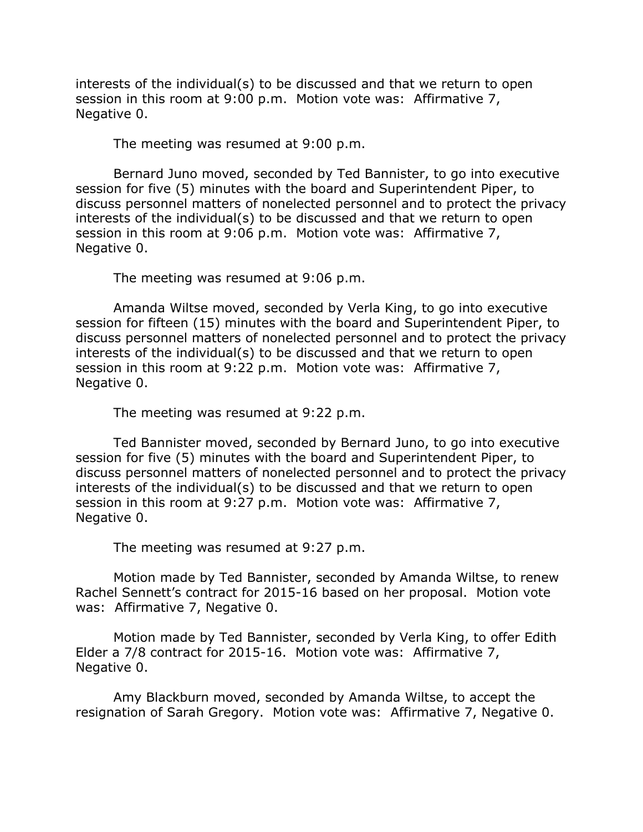interests of the individual(s) to be discussed and that we return to open session in this room at 9:00 p.m. Motion vote was: Affirmative 7, Negative 0.

The meeting was resumed at 9:00 p.m.

Bernard Juno moved, seconded by Ted Bannister, to go into executive session for five (5) minutes with the board and Superintendent Piper, to discuss personnel matters of nonelected personnel and to protect the privacy interests of the individual(s) to be discussed and that we return to open session in this room at 9:06 p.m. Motion vote was: Affirmative 7, Negative 0.

The meeting was resumed at 9:06 p.m.

Amanda Wiltse moved, seconded by Verla King, to go into executive session for fifteen (15) minutes with the board and Superintendent Piper, to discuss personnel matters of nonelected personnel and to protect the privacy interests of the individual(s) to be discussed and that we return to open session in this room at 9:22 p.m. Motion vote was: Affirmative 7, Negative 0.

The meeting was resumed at 9:22 p.m.

Ted Bannister moved, seconded by Bernard Juno, to go into executive session for five (5) minutes with the board and Superintendent Piper, to discuss personnel matters of nonelected personnel and to protect the privacy interests of the individual(s) to be discussed and that we return to open session in this room at 9:27 p.m. Motion vote was: Affirmative 7, Negative 0.

The meeting was resumed at 9:27 p.m.

Motion made by Ted Bannister, seconded by Amanda Wiltse, to renew Rachel Sennett's contract for 2015-16 based on her proposal. Motion vote was: Affirmative 7, Negative 0.

Motion made by Ted Bannister, seconded by Verla King, to offer Edith Elder a 7/8 contract for 2015-16. Motion vote was: Affirmative 7, Negative 0.

Amy Blackburn moved, seconded by Amanda Wiltse, to accept the resignation of Sarah Gregory. Motion vote was: Affirmative 7, Negative 0.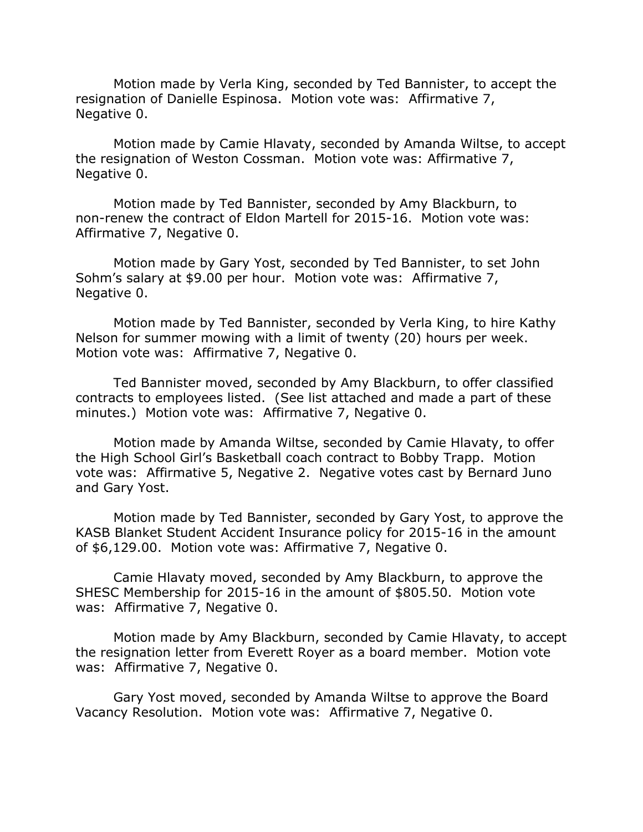Motion made by Verla King, seconded by Ted Bannister, to accept the resignation of Danielle Espinosa. Motion vote was: Affirmative 7, Negative 0.

Motion made by Camie Hlavaty, seconded by Amanda Wiltse, to accept the resignation of Weston Cossman. Motion vote was: Affirmative 7, Negative 0.

Motion made by Ted Bannister, seconded by Amy Blackburn, to non-renew the contract of Eldon Martell for 2015-16. Motion vote was: Affirmative 7, Negative 0.

Motion made by Gary Yost, seconded by Ted Bannister, to set John Sohm's salary at \$9.00 per hour. Motion vote was: Affirmative 7, Negative 0.

Motion made by Ted Bannister, seconded by Verla King, to hire Kathy Nelson for summer mowing with a limit of twenty (20) hours per week. Motion vote was: Affirmative 7, Negative 0.

Ted Bannister moved, seconded by Amy Blackburn, to offer classified contracts to employees listed. (See list attached and made a part of these minutes.) Motion vote was: Affirmative 7, Negative 0.

Motion made by Amanda Wiltse, seconded by Camie Hlavaty, to offer the High School Girl's Basketball coach contract to Bobby Trapp. Motion vote was: Affirmative 5, Negative 2. Negative votes cast by Bernard Juno and Gary Yost.

Motion made by Ted Bannister, seconded by Gary Yost, to approve the KASB Blanket Student Accident Insurance policy for 2015-16 in the amount of \$6,129.00. Motion vote was: Affirmative 7, Negative 0.

Camie Hlavaty moved, seconded by Amy Blackburn, to approve the SHESC Membership for 2015-16 in the amount of \$805.50. Motion vote was: Affirmative 7, Negative 0.

Motion made by Amy Blackburn, seconded by Camie Hlavaty, to accept the resignation letter from Everett Royer as a board member. Motion vote was: Affirmative 7, Negative 0.

Gary Yost moved, seconded by Amanda Wiltse to approve the Board Vacancy Resolution. Motion vote was: Affirmative 7, Negative 0.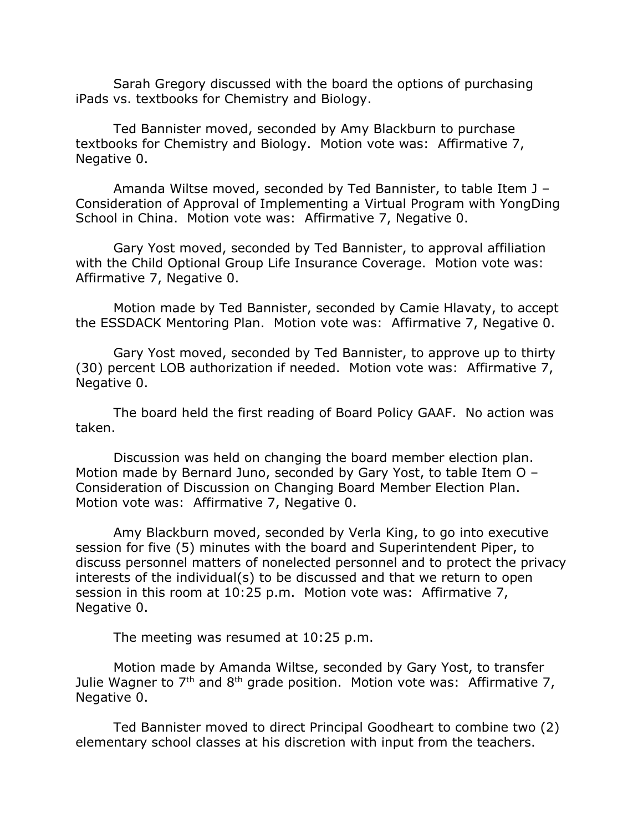Sarah Gregory discussed with the board the options of purchasing iPads vs. textbooks for Chemistry and Biology.

Ted Bannister moved, seconded by Amy Blackburn to purchase textbooks for Chemistry and Biology. Motion vote was: Affirmative 7, Negative 0.

Amanda Wiltse moved, seconded by Ted Bannister, to table Item J – Consideration of Approval of Implementing a Virtual Program with YongDing School in China. Motion vote was: Affirmative 7, Negative 0.

Gary Yost moved, seconded by Ted Bannister, to approval affiliation with the Child Optional Group Life Insurance Coverage. Motion vote was: Affirmative 7, Negative 0.

Motion made by Ted Bannister, seconded by Camie Hlavaty, to accept the ESSDACK Mentoring Plan. Motion vote was: Affirmative 7, Negative 0.

Gary Yost moved, seconded by Ted Bannister, to approve up to thirty (30) percent LOB authorization if needed. Motion vote was: Affirmative 7, Negative 0.

The board held the first reading of Board Policy GAAF. No action was taken.

Discussion was held on changing the board member election plan. Motion made by Bernard Juno, seconded by Gary Yost, to table Item O – Consideration of Discussion on Changing Board Member Election Plan. Motion vote was: Affirmative 7, Negative 0.

Amy Blackburn moved, seconded by Verla King, to go into executive session for five (5) minutes with the board and Superintendent Piper, to discuss personnel matters of nonelected personnel and to protect the privacy interests of the individual(s) to be discussed and that we return to open session in this room at 10:25 p.m. Motion vote was: Affirmative 7, Negative 0.

The meeting was resumed at 10:25 p.m.

Motion made by Amanda Wiltse, seconded by Gary Yost, to transfer Julie Wagner to  $7<sup>th</sup>$  and  $8<sup>th</sup>$  grade position. Motion vote was: Affirmative 7, Negative 0.

Ted Bannister moved to direct Principal Goodheart to combine two (2) elementary school classes at his discretion with input from the teachers.